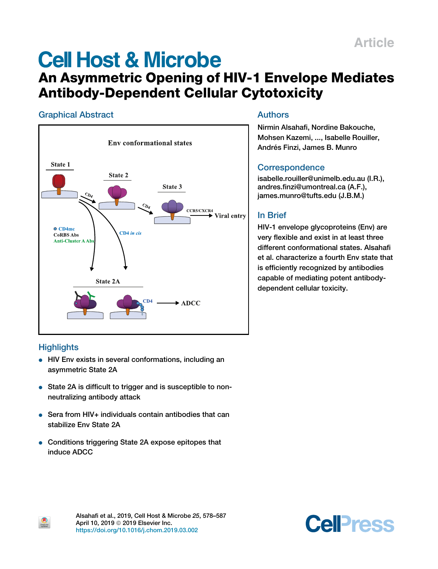# **Cell Host & Microbe**

## An Asymmetric Opening of HIV-1 Envelope Mediates Antibody-Dependent Cellular Cytotoxicity

## Graphical Abstract



## Authors

Nirmin Alsahafi, Nordine Bakouche, Mohsen Kazemi, ..., Isabelle Rouiller, Andrés Finzi, James B. Munro

## **Correspondence**

isabelle.rouiller@unimelb.edu.au (I.R.), andres.finzi@umontreal.ca (A.F.), james.munro@tufts.edu (J.B.M.)

## In Brief

HIV-1 envelope glycoproteins (Env) are very flexible and exist in at least three different conformational states. Alsahafi et al. characterize a fourth Env state that is efficiently recognized by antibodies capable of mediating potent antibodydependent cellular toxicity.

## **Highlights**

 $\bullet$ 

- HIV Env exists in several conformations, including an asymmetric State 2A
- State 2A is difficult to trigger and is susceptible to nonneutralizing antibody attack
- $\bullet$  Sera from HIV+ individuals contain antibodies that can stabilize Env State 2A
- Conditions triggering State 2A expose epitopes that induce ADCC

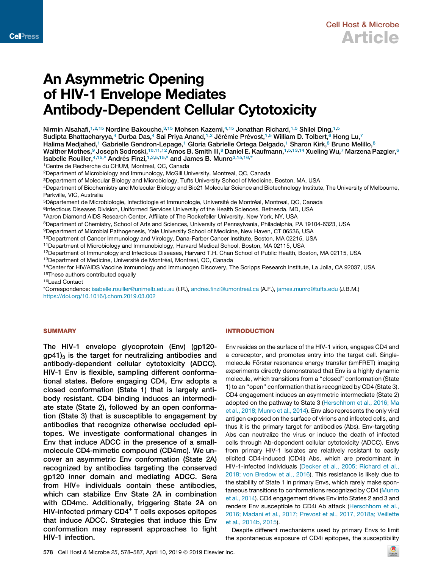## An Asymmetric Opening of HIV-1 Envelope Mediates Antibody-Dependent Cellular Cytotoxicity

Nirmin Alsahafi,<sup>1,2,15</sup> Nordine Bakouche,<sup>3,15</sup> Mohsen Kazemi,<sup>4,15</sup> Jonathan Richard,<sup>1,5</sup> Shilei Ding,<sup>1,5</sup> Sudipta Bhattacharyya,<sup>4</sup> Durba Das,<sup>4</sup> Sai Priya Anand,<sup>1,2</sup> Jérémie Prévost,<sup>1,5</sup> William D. Tolbert, <sup>6</sup> Hong Lu,<sup>7</sup> Halima Medjahed,<sup>1</sup> Gabrielle Gendron-Lepage,<sup>1</sup> Gloria Gabrielle Ortega Delgado,<sup>1</sup> Sharon Kirk,<sup>8</sup> Bruno Melillo,<sup>8</sup> Walther Mothes,<sup>9</sup> Joseph Sodroski,<sup>10,11,12</sup> Amos B. Smith III,<sup>8</sup> Daniel E. Kaufmann,<sup>1,5,13,14</sup> Xueling Wu,<sup>7</sup> Marzena Pazgier,<sup>6</sup> Isabelle Rouiller,  $4,15,^*$  Andrés Finzi,  $1,2,5,15,^*$  and James B. Munro $3,15,16,^*$ 

<sup>1</sup>Centre de Recherche du CHUM, Montreal, QC, Canada

<sup>2</sup>Department of Microbiology and Immunology, McGill University, Montreal, QC, Canada

<sup>3</sup>Department of Molecular Biology and Microbiology, Tufts University School of Medicine, Boston, MA, USA

<sup>4</sup>Department of Biochemistry and Molecular Biology and Bio21 Molecular Science and Biotechnology Institute, The University of Melbourne, Parkville, VIC, Australia

<sup>5</sup>Département de Microbiologie, Infectiologie et Immunologie, Université de Montréal, Montreal, QC, Canada

<sup>6</sup>Infectious Diseases Division, Uniformed Services University of the Health Sciences, Bethesda, MD, USA

<sup>7</sup>Aaron Diamond AIDS Research Center, Affiliate of The Rockefeller University, New York, NY, USA

<sup>8</sup>Department of Chemistry, School of Arts and Sciences, University of Pennsylvania, Philadelphia, PA 19104-6323, USA

<sup>9</sup>Department of Microbial Pathogenesis, Yale University School of Medicine, New Haven, CT 06536, USA

<sup>10</sup>Department of Cancer Immunology and Virology, Dana-Farber Cancer Institute, Boston, MA 02215, USA

<sup>11</sup>Department of Microbiology and Immunobiology, Harvard Medical School, Boston, MA 02115, USA

<sup>12</sup>Department of Immunology and Infectious Diseases, Harvard T.H. Chan School of Public Health, Boston, MA 02115, USA <sup>13</sup>Department of Medicine, Université de Montréal, Montreal, QC, Canada

<sup>14</sup>Center for HIV/AIDS Vaccine Immunology and Immunogen Discovery, The Scripps Research Institute, La Jolla, CA 92037, USA <sup>15</sup>These authors contributed equally

<sup>16</sup>Lead Contact

\*Correspondence: isabelle.rouiller@unimelb.edu.au (I.R.), andres.finzi@umontreal.ca (A.F.), james.munro@tufts.edu (J.B.M.) https://doi.org/10.1016/j.chom.2019.03.002

#### **SUMMARY**

The HIV-1 envelope glycoprotein (Env) (gp120  $gp41<sub>3</sub>$  is the target for neutralizing antibodies and antibody-dependent cellular cytotoxicity (ADCC). HIV-1 Env is flexible, sampling different conformational states. Before engaging CD4, Env adopts a closed conformation (State 1) that is largely antibody resistant. CD4 binding induces an intermediate state (State 2), followed by an open conformation (State 3) that is susceptible to engagement by antibodies that recognize otherwise occluded epitopes. We investigate conformational changes in Env that induce ADCC in the presence of a smallmolecule CD4-mimetic compound (CD4mc). We uncover an asymmetric Env conformation (State 2A) recognized by antibodies targeting the conserved gp120 inner domain and mediating ADCC. Sera from HIV+ individuals contain these antibodies, which can stabilize Env State 2A in combination with CD4mc. Additionally, triggering State 2A on HIV-infected primary CD4<sup>+</sup> T cells exposes epitopes that induce ADCC. Strategies that induce this Env conformation may represent approaches to fight HIV-1 infection.

#### INTRODUCTION

Env resides on the surface of the HIV-1 virion, engages CD4 and a coreceptor, and promotes entry into the target cell. Singlemolecule Förster resonance energy transfer (smFRET) imaging experiments directly demonstrated that Env is a highly dynamic molecule, which transitions from a ''closed'' conformation (State 1) to an ''open'' conformation that is recognized by CD4 (State 3). CD4 engagement induces an asymmetric intermediate (State 2) adopted on the pathway to State 3 (Herschhorn et al., 2016; Ma et al., 2018; Munro et al., 2014). Env also represents the only viral antigen exposed on the surface of virions and infected cells, and thus it is the primary target for antibodies (Abs). Env-targeting Abs can neutralize the virus or induce the death of infected cells through Ab-dependent cellular cytotoxicity (ADCC). Envs from primary HIV-1 isolates are relatively resistant to easily elicited CD4-induced (CD4i) Abs, which are predominant in HIV-1-infected individuals (Decker et al., 2005; Richard et al., 2018; von Bredow et al., 2016). This resistance is likely due to the stability of State 1 in primary Envs, which rarely make spontaneous transitions to conformations recognized by CD4 (Munro et al., 2014). CD4 engagement drives Env into States 2 and 3 and renders Env susceptible to CD4i Ab attack (Herschhorn et al., 2016; Madani et al., 2017; Prevost et al., 2017, 2018a; Veillette et al., 2014b, 2015).

Despite different mechanisms used by primary Envs to limit the spontaneous exposure of CD4i epitopes, the susceptibility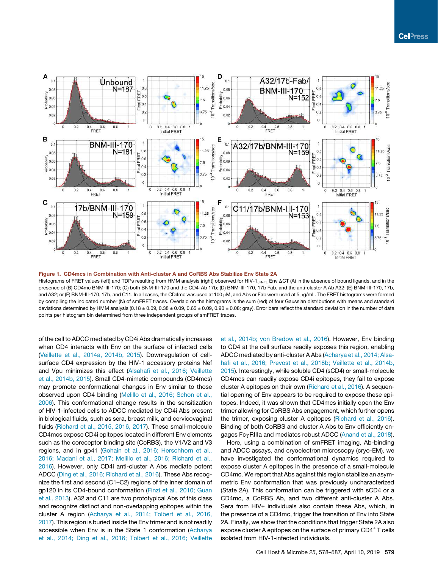

Figure 1. CD4mcs in Combination with Anti-cluster A and CoRBS Abs Stabilize Env State 2A Histograms of FRET values (left) and TDPs resulting from HMM analysis (right) observed for HIV-1<sub>JR-FL</sub> Env  $\Delta CT$  (A) in the absence of bound ligands, and in the presence of (B) CD4mc BNM-III-170; (C) both BNM-III-170 and the CD4i Ab 17b; (D) BNM-III-170, 17b Fab, and the anti-cluster A Ab A32; (E) BNM-III-170, 17b, and A32; or (F) BNM-III-170, 17b, and C11. In all cases, the CD4mc was used at 100 µM, and Abs or Fab were used at 5 µg/mL. The FRET histograms were formed by compiling the indicated number (N) of smFRET traces. Overlaid on the histograms is the sum (red) of four Gaussian distributions with means and standard deviations determined by HMM analysis (0.18  $\pm$  0.09, 0.38  $\pm$  0.09, 0.65  $\pm$  0.09, 0.90  $\pm$  0.08; gray). Error bars reflect the standard deviation in the number of data points per histogram bin determined from three independent groups of smFRET traces.

of the cell to ADCC mediated by CD4i Abs dramatically increases when CD4 interacts with Env on the surface of infected cells (Veillette et al., 2014a, 2014b, 2015). Downregulation of cellsurface CD4 expression by the HIV-1 accessory proteins Nef and Vpu minimizes this effect (Alsahafi et al., 2016; Veillette et al., 2014b, 2015). Small CD4-mimetic compounds (CD4mcs) may promote conformational changes in Env similar to those observed upon CD4 binding (Melillo et al., 2016; Schon et al., 2006). This conformational change results in the sensitization of HIV-1-infected cells to ADCC mediated by CD4i Abs present in biological fluids, such as sera, breast milk, and cervicovaginal fluids (Richard et al., 2015, 2016, 2017). These small-molecule CD4mcs expose CD4i epitopes located in different Env elements such as the coreceptor binding site (CoRBS), the V1/V2 and V3 regions, and in gp41 (Gohain et al., 2016; Herschhorn et al., 2016; Madani et al., 2017; Melillo et al., 2016; Richard et al., 2016). However, only CD4i anti-cluster A Abs mediate potent ADCC (Ding et al., 2016; Richard et al., 2016). These Abs recognize the first and second (C1–C2) regions of the inner domain of gp120 in its CD4-bound conformation (Finzi et al., 2010; Guan et al., 2013). A32 and C11 are two prototypical Abs of this class and recognize distinct and non-overlapping epitopes within the cluster A region (Acharya et al., 2014; Tolbert et al., 2016, 2017). This region is buried inside the Env trimer and is not readily accessible when Env is in the State 1 conformation (Acharya et al., 2014; Ding et al., 2016; Tolbert et al., 2016; Veillette et al., 2014b; von Bredow et al., 2016). However, Env binding to CD4 at the cell surface readily exposes this region, enabling ADCC mediated by anti-cluster A Abs (Acharya et al., 2014; Alsahafi et al., 2016; Prevost et al., 2018b; Veillette et al., 2014b, 2015). Interestingly, while soluble CD4 (sCD4) or small-molecule CD4mcs can readily expose CD4i epitopes, they fail to expose cluster A epitopes on their own (Richard et al., 2016). A sequential opening of Env appears to be required to expose these epitopes. Indeed, it was shown that CD4mcs initially open the Env trimer allowing for CoRBS Abs engagement, which further opens the trimer, exposing cluster A epitopes (Richard et al., 2016). Binding of both CoRBS and cluster A Abs to Env efficiently engages FcyRIIIa and mediates robust ADCC (Anand et al., 2018).

Here, using a combination of smFRET imaging, Ab-binding and ADCC assays, and cryoelectron microscopy (cryo-EM), we have investigated the conformational dynamics required to expose cluster A epitopes in the presence of a small-molecule CD4mc. We report that Abs against this region stabilize an asymmetric Env conformation that was previously uncharacterized (State 2A). This conformation can be triggered with sCD4 or a CD4mc, a CoRBS Ab, and two different anti-cluster A Abs. Sera from HIV+ individuals also contain these Abs, which, in the presence of a CD4mc, trigger the transition of Env into State 2A. Finally, we show that the conditions that trigger State 2A also expose cluster A epitopes on the surface of primary CD4<sup>+</sup> T cells isolated from HIV-1-infected individuals.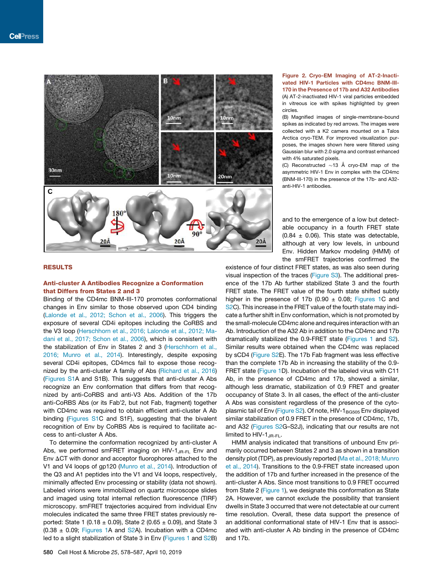

#### RESULTS

#### Anti-cluster A Antibodies Recognize a Conformation that Differs from States 2 and 3

Binding of the CD4mc BNM-III-170 promotes conformational changes in Env similar to those observed upon CD4 binding (Lalonde et al., 2012; Schon et al., 2006). This triggers the exposure of several CD4i epitopes including the CoRBS and the V3 loop (Herschhorn et al., 2016; Lalonde et al., 2012; Madani et al., 2017; Schon et al., 2006), which is consistent with the stabilization of Env in States 2 and 3 (Herschhorn et al., 2016; Munro et al., 2014). Interestingly, despite exposing several CD4i epitopes, CD4mcs fail to expose those recognized by the anti-cluster A family of Abs (Richard et al., 2016) (Figures S1A and S1B). This suggests that anti-cluster A Abs recognize an Env conformation that differs from that recognized by anti-CoRBS and anti-V3 Abs. Addition of the 17b anti-CoRBS Abs (or its Fab'2, but not Fab, fragment) together with CD4mc was required to obtain efficient anti-cluster A Ab binding (Figures S1C and S1F), suggesting that the bivalent recognition of Env by CoRBS Abs is required to facilitate access to anti-cluster A Abs.

To determine the conformation recognized by anti-cluster A Abs, we performed smFRET imaging on HIV-1 $_{\text{JR-FL}}$  Env and Env  $\Delta$ CT with donor and acceptor fluorophores attached to the V1 and V4 loops of gp120 (Munro et al., 2014). Introduction of the Q3 and A1 peptides into the V1 and V4 loops, respectively, minimally affected Env processing or stability (data not shown). Labeled virions were immobilized on quartz microscope slides and imaged using total internal reflection fluorescence (TIRF) microscopy. smFRET trajectories acquired from individual Env molecules indicated the same three FRET states previously reported: State 1 (0.18  $\pm$  0.09), State 2 (0.65  $\pm$  0.09), and State 3  $(0.38 \pm 0.09)$ ; Figures 1A and S2A). Incubation with a CD4mc led to a slight stabilization of State 3 in Env (Figures 1 and S2B)

#### Figure 2. Cryo-EM Imaging of AT-2-Inactivated HIV-1 Particles with CD4mc BNM-III-170 in the Presence of 17b and A32 Antibodies (A) AT-2-inactivated HIV-1 viral particles embedded in vitreous ice with spikes highlighted by green circles.

(B) Magnified images of single-membrane-bound spikes as indicated by red arrows. The images were collected with a K2 camera mounted on a Talos Arctica cryo-TEM. For improved visualization purposes, the images shown here were filtered using Gaussian blur with 2.0 sigma and contrast enhanced with 4% saturated pixels.

(C) Reconstructed  $\sim$ 13 Å cryo-EM map of the asymmetric HIV-1 Env in complex with the CD4mc (BNM-III-170) in the presence of the 17b- and A32 anti-HIV-1 antibodies.

and to the emergence of a low but detectable occupancy in a fourth FRET state  $(0.84 \pm 0.06)$ . This state was detectable, although at very low levels, in unbound Env. Hidden Markov modeling (HMM) of the smFRET trajectories confirmed the

existence of four distinct FRET states, as was also seen during visual inspection of the traces (Figure S3). The additional presence of the 17b Ab further stabilized State 3 and the fourth FRET state. The FRET value of the fourth state shifted subtly higher in the presence of 17b (0.90  $\pm$  0.08; Figures 1C and S2C). This increase in the FRET value of the fourth state may indicate a further shift in Env conformation, which is not promoted by the small-molecule CD4mc alone and requires interaction with an Ab. Introduction of the A32 Ab in addition to the CD4mc and 17b dramatically stabilized the 0.9-FRET state (Figures 1 and S2). Similar results were obtained when the CD4mc was replaced by sCD4 (Figure S2E). The 17b Fab fragment was less effective than the complete 17b Ab in increasing the stability of the 0.9- FRET state (Figure 1D). Incubation of the labeled virus with C11 Ab, in the presence of CD4mc and 17b, showed a similar, although less dramatic, stabilization of 0.9 FRET and greater occupancy of State 3. In all cases, the effect of the anti-cluster A Abs was consistent regardless of the presence of the cytoplasmic tail of Env (Figure S2). Of note, HIV-1<sub>BG505</sub> Env displayed similar stabilization of 0.9 FRET in the presence of CD4mc, 17b, and A32 (Figures S2G-S2J), indicating that our results are not limited to HIV-1<sub>JR-FL</sub>.

HMM analysis indicated that transitions of unbound Env primarily occurred between States 2 and 3 as shown in a transition density plot (TDP), as previously reported (Ma et al., 2018; Munro et al., 2014). Transitions to the 0.9-FRET state increased upon the addition of 17b and further increased in the presence of the anti-cluster A Abs. Since most transitions to 0.9 FRET occurred from State 2 (Figure 1), we designate this conformation as State 2A. However, we cannot exclude the possibility that transient dwells in State 3 occurred that were not detectable at our current time resolution. Overall, these data support the presence of an additional conformational state of HIV-1 Env that is associated with anti-cluster A Ab binding in the presence of CD4mc and 17b.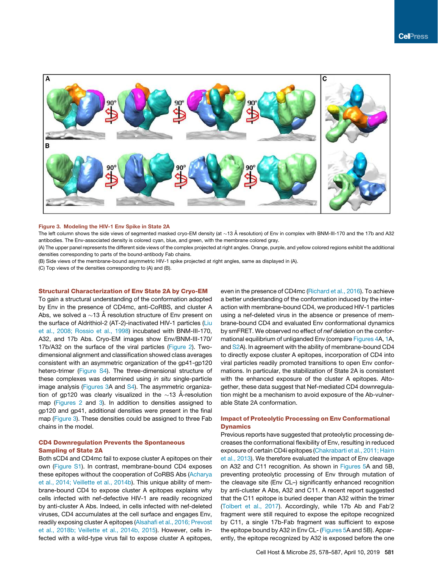

#### Figure 3. Modeling the HIV-1 Env Spike in State 2A

The left column shows the side views of segmented masked cryo-EM density (at  $\sim$ 13 Å resolution) of Env in complex with BNM-III-170 and the 17b and A32 antibodies. The Env-associated density is colored cyan, blue, and green, with the membrane colored gray.

(A) The upper panel represents the different side views of the complex projected at right angles. Orange, purple, and yellow colored regions exhibit the additional densities corresponding to parts of the bound-antibody Fab chains.

(B) Side views of the membrane-bound asymmetric HIV-1 spike projected at right angles, same as displayed in (A).

(C) Top views of the densities corresponding to (A) and (B).

#### Structural Characterization of Env State 2A by Cryo-EM

To gain a structural understanding of the conformation adopted by Env in the presence of CD4mc, anti-CoRBS, and cluster A Abs, we solved a  ${\sim}$ 13 Å resolution structure of Env present on the surface of Aldrithiol-2 (AT-2)-inactivated HIV-1 particles (Liu et al., 2008; Rossio et al., 1998) incubated with BNM-III-170, A32, and 17b Abs. Cryo-EM images show Env/BNM-III-170/ 17b/A32 on the surface of the viral particles (Figure 2). Twodimensional alignment and classification showed class averages consistent with an asymmetric organization of the gp41-gp120 hetero-trimer (Figure S4). The three-dimensional structure of these complexes was determined using *in situ* single-particle image analysis (Figures 3A and S4). The asymmetric organization of gp120 was clearly visualized in the  $\sim$ 13 Å-resolution map (Figures 2 and 3). In addition to densities assigned to gp120 and gp41, additional densities were present in the final map (Figure 3). These densities could be assigned to three Fab chains in the model.

#### CD4 Downregulation Prevents the Spontaneous Sampling of State 2A

Both sCD4 and CD4mc fail to expose cluster A epitopes on their own (Figure S1). In contrast, membrane-bound CD4 exposes these epitopes without the cooperation of CoRBS Abs (Acharya et al., 2014; Veillette et al., 2014b). This unique ability of membrane-bound CD4 to expose cluster A epitopes explains why cells infected with nef-defective HIV-1 are readily recognized by anti-cluster A Abs. Indeed, in cells infected with nef-deleted viruses, CD4 accumulates at the cell surface and engages Env, readily exposing cluster A epitopes (Alsahafi et al., 2016; Prevost et al., 2018b; Veillette et al., 2014b, 2015). However, cells infected with a wild-type virus fail to expose cluster A epitopes, even in the presence of CD4mc (Richard et al., 2016). To achieve a better understanding of the conformation induced by the interaction with membrane-bound CD4, we produced HIV-1 particles using a nef-deleted virus in the absence or presence of membrane-bound CD4 and evaluated Env conformational dynamics by smFRET. We observed no effect of *nef* deletion on the conformational equilibrium of unliganded Env (compare Figures 4A, 1A, and S2A). In agreement with the ability of membrane-bound CD4 to directly expose cluster A epitopes, incorporation of CD4 into viral particles readily promoted transitions to open Env conformations. In particular, the stabilization of State 2A is consistent with the enhanced exposure of the cluster A epitopes. Altogether, these data suggest that Nef-mediated CD4 downregulation might be a mechanism to avoid exposure of the Ab-vulnerable State 2A conformation.

#### Impact of Proteolytic Processing on Env Conformational **Dynamics**

Previous reports have suggested that proteolytic processing decreases the conformational flexibility of Env, resulting in reduced exposure of certain CD4i epitopes (Chakrabarti et al., 2011; Haim et al., 2013). We therefore evaluated the impact of Env cleavage on A32 and C11 recognition. As shown in Figures 5A and 5B, preventing proteolytic processing of Env through mutation of the cleavage site (Env CL–) significantly enhanced recognition by anti-cluster A Abs, A32 and C11. A recent report suggested that the C11 epitope is buried deeper than A32 within the trimer (Tolbert et al., 2017). Accordingly, while 17b Ab and Fab'2 fragment were still required to expose the epitope recognized by C11, a single 17b-Fab fragment was sufficient to expose the epitope bound by A32 in Env CL- (Figures 5A and 5B). Apparently, the epitope recognized by A32 is exposed before the one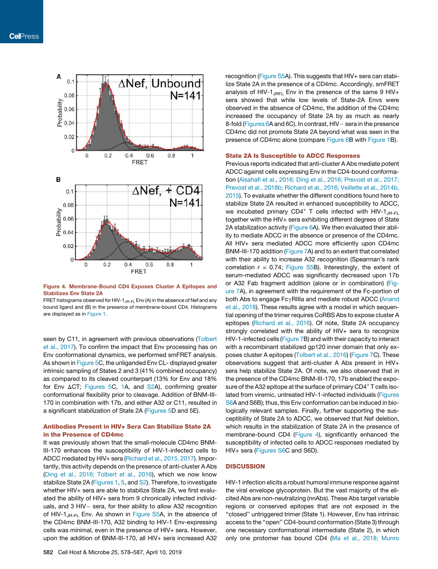

Figure 4. Membrane-Bound CD4 Exposes Cluster A Epitopes and Stabilizes Env State 2A

FRET histograms observed for HIV-1<sub>JR-FL</sub> Env (A) in the absence of Nef and any bound ligand and (B) in the presence of membrane-bound CD4. Histograms are displayed as in Figure 1.

seen by C11, in agreement with previous observations (Tolbert et al., 2017). To confirm the impact that Env processing has on Env conformational dynamics, we performed smFRET analysis. As shown in Figure 5C, the unliganded Env CL- displayed greater intrinsic sampling of States 2 and 3 (41% combined occupancy) as compared to its cleaved counterpart (13% for Env and 18% for Env  $\Delta CT$ ; Figures 5C, 1A, and S2A), confirming greater conformational flexibility prior to cleavage. Addition of BNM-III-170 in combination with 17b, and either A32 or C11, resulted in a significant stabilization of State 2A (Figures 5D and 5E).

#### Antibodies Present in HIV+ Sera Can Stabilize State 2A in the Presence of CD4mc

It was previously shown that the small-molecule CD4mc BNM-III-170 enhances the susceptibility of HIV-1-infected cells to ADCC mediated by HIV+ sera (Richard et al., 2015, 2017). Importantly, this activity depends on the presence of anti-cluster A Abs (Ding et al., 2016; Tolbert et al., 2016), which we now know stabilize State 2A (Figures 1, 5, and S2). Therefore, to investigate whether HIV+ sera are able to stabilize State 2A, we first evaluated the ability of HIV+ sera from 9 chronically infected individuals, and 3 HIV- sera, for their ability to allow A32 recognition of HIV-1<sub>JR-FL</sub> Env. As shown in Figure S5A, in the absence of the CD4mc BNM-III-170, A32 binding to HIV-1 Env-expressing cells was minimal, even in the presence of HIV+ sera. However, upon the addition of BNM-III-170, all HIV+ sera increased A32

recognition (Figure S5A). This suggests that HIV+ sera can stabilize State 2A in the presence of a CD4mc. Accordingly, smFRET analysis of HIV-1 $_{\text{JRFL}}$  Env in the presence of the same 9 HIV+ sera showed that while low levels of State-2A Envs were observed in the absence of CD4mc, the addition of the CD4mc increased the occupancy of State 2A by as much as nearly 8-fold (Figures 6A and 6C). In contrast, HIV- sera in the presence CD4mc did not promote State 2A beyond what was seen in the presence of CD4mc alone (compare Figure 6B with Figure 1B).

#### State 2A Is Susceptible to ADCC Responses

Previous reports indicated that anti-cluster A Abs mediate potent ADCC against cells expressing Env in the CD4-bound conformation (Alsahafi et al., 2016; Ding et al., 2016; Prevost et al., 2017; Prevost et al., 2018b; Richard et al., 2016; Veillette et al., 2014b, 2015). To evaluate whether the different conditions found here to stabilize State 2A resulted in enhanced susceptibility to ADCC, we incubated primary CD4<sup>+</sup> T cells infected with HIV-1<sub>JR-FL</sub> together with the HIV+ sera exhibiting different degrees of State 2A stabilization activity (Figure 6A). We then evaluated their ability to mediate ADCC in the absence or presence of the CD4mc. All HIV+ sera mediated ADCC more efficiently upon CD4mc BNM-III-170 addition (Figure 7A) and to an extent that correlated with their ability to increase A32 recognition (Spearman's rank correlation  $r = 0.74$ ; Figure S5B). Interestingly, the extent of serum-mediated ADCC was significantly decreased upon 17b or A32 Fab fragment addition (alone or in combination) (Figure 7A), in agreement with the requirement of the Fc-portion of both Abs to engage FcyRIIIa and mediate robust ADCC (Anand et al., 2018). These results agree with a model in which sequential opening of the trimer requires CoRBS Abs to expose cluster A epitopes (Richard et al., 2016). Of note, State 2A occupancy strongly correlated with the ability of HIV+ sera to recognize HIV-1-infected cells (Figure 7B) and with their capacity to interact with a recombinant stabilized gp120 inner domain that only exposes cluster A epitopes (Tolbert et al., 2016) (Figure 7C). These observations suggest that anti-cluster A Abs present in HIV+ sera help stabilize State 2A. Of note, we also observed that in the presence of the CD4mc BNM-III-170, 17b enabled the exposure of the A32 epitope at the surface of primary CD4<sup>+</sup> T cells isolated from viremic, untreated HIV-1-infected individuals (Figures S6A and S6B); thus, this Env conformation can be induced in biologically relevant samples. Finally, further supporting the susceptibility of State 2A to ADCC, we observed that Nef deletion, which results in the stabilization of State 2A in the presence of membrane-bound CD4 (Figure 4), significantly enhanced the susceptibility of infected cells to ADCC responses mediated by HIV+ sera (Figures S6C and S6D).

#### **DISCUSSION**

HIV-1 infection elicits a robust humoral immune response against the viral envelope glycoprotein. But the vast majority of the elicited Abs are non-neutralizing (nnAbs). These Abs target variable regions or conserved epitopes that are not exposed in the ''closed'' untriggered trimer (State 1). However, Env has intrinsic access to the ''open'' CD4-bound conformation (State 3) through one necessary conformational intermediate (State 2), in which only one protomer has bound CD4 (Ma et al., 2018; Munro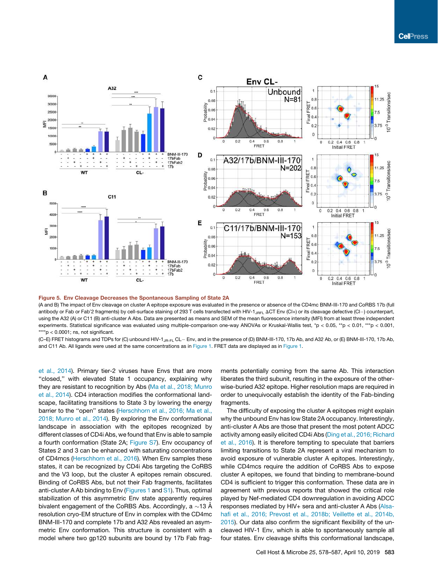

#### Figure 5. Env Cleavage Decreases the Spontaneous Sampling of State 2A

(A and B) The impact of Env cleavage on cluster A epitope exposure was evaluated in the presence or absence of the CD4mc BNM-III-170 and CoRBS 17b (full antibody or Fab or Fab'2 fragments) by cell-surface staining of 293 T cells transfected with HIV-1<sub>JRFL</sub> ACT Env (Cl+) or its cleavage defective (Cl-) counterpart, using the A32 (A) or C11 (B) anti-cluster A Abs. Data are presented as means and SEM of the mean fluorescence intensity (MFI) from at least three independent experiments. Statistical significance was evaluated using multiple-comparison one-way ANOVAs or Kruskal-Wallis test, \*p < 0.05, \*\*p < 0.01, \*\*\*p < 0.001,  $***$ p < 0.0001; ns, not significant.

(C-E) FRET histograms and TDPs for (C) unbound HIV-1<sub>JR-FL</sub> CL- Env, and in the presence of (D) BNM-III-170, 17b Ab, and A32 Ab, or (E) BNM-III-170, 17b Ab, and C11 Ab. All ligands were used at the same concentrations as in Figure 1. FRET data are displayed as in Figure 1.

et al., 2014). Primary tier-2 viruses have Envs that are more "closed," with elevated State 1 occupancy, explaining why they are resistant to recognition by Abs (Ma et al., 2018; Munro et al., 2014). CD4 interaction modifies the conformational landscape, facilitating transitions to State 3 by lowering the energy barrier to the ''open'' states (Herschhorn et al., 2016; Ma et al., 2018; Munro et al., 2014). By exploring the Env conformational landscape in association with the epitopes recognized by different classes of CD4i Abs, we found that Env is able to sample a fourth conformation (State 2A; Figure S7). Env occupancy of States 2 and 3 can be enhanced with saturating concentrations of CD4mcs (Herschhorn et al., 2016). When Env samples these states, it can be recognized by CD4i Abs targeting the CoRBS and the V3 loop, but the cluster A epitopes remain obscured. Binding of CoRBS Abs, but not their Fab fragments, facilitates anti-cluster A Ab binding to Env (Figures 1 and S1). Thus, optimal stabilization of this asymmetric Env state apparently requires bivalent engagement of the CoRBS Abs. Accordingly, a  ${\sim}$ 13 Å resolution cryo-EM structure of Env in complex with the CD4mc BNM-III-170 and complete 17b and A32 Abs revealed an asymmetric Env conformation. This structure is consistent with a model where two gp120 subunits are bound by 17b Fab fragments potentially coming from the same Ab. This interaction liberates the third subunit, resulting in the exposure of the otherwise-buried A32 epitope. Higher resolution maps are required in order to unequivocally establish the identity of the Fab-binding fragments.

The difficulty of exposing the cluster A epitopes might explain why the unbound Env has low State 2A occupancy. Interestingly, anti-cluster A Abs are those that present the most potent ADCC activity among easily elicited CD4i Abs (Ding et al., 2016; Richard et al., 2016). It is therefore tempting to speculate that barriers limiting transitions to State 2A represent a viral mechanism to avoid exposure of vulnerable cluster A epitopes. Interestingly, while CD4mcs require the addition of CoRBS Abs to expose cluster A epitopes, we found that binding to membrane-bound CD4 is sufficient to trigger this conformation. These data are in agreement with previous reports that showed the critical role played by Nef-mediated CD4 downregulation in avoiding ADCC responses mediated by HIV+ sera and anti-cluster A Abs (Alsahafi et al., 2016; Prevost et al., 2018b; Veillette et al., 2014b, 2015). Our data also confirm the significant flexibility of the uncleaved HIV-1 Env, which is able to spontaneously sample all four states. Env cleavage shifts this conformational landscape,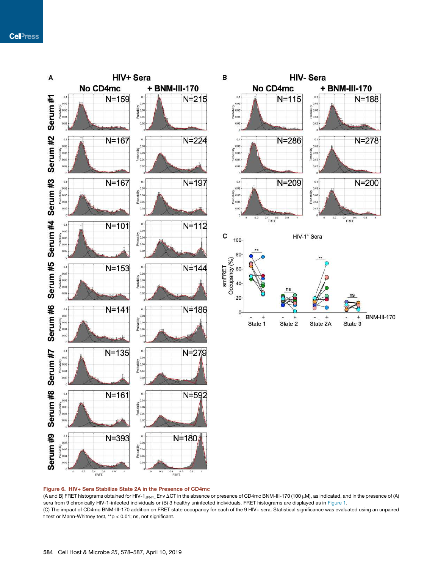

#### Figure 6. HIV+ Sera Stabilize State 2A in the Presence of CD4mc

(A and B) FRET histograms obtained for HIV-1<sub>JR-FL</sub> Env  $\Delta CT$  in the absence or presence of CD4mc BNM-III-170 (100 µM), as indicated, and in the presence of (A) sera from 9 chronically HIV-1-infected individuals or (B) 3 healthy uninfected individuals. FRET histograms are displayed as in Figure 1. (C) The impact of CD4mc BNM-III-170 addition on FRET state occupancy for each of the 9 HIV+ sera. Statistical significance was evaluated using an unpaired t test or Mann-Whitney test, \*\*p < 0.01; ns, not significant.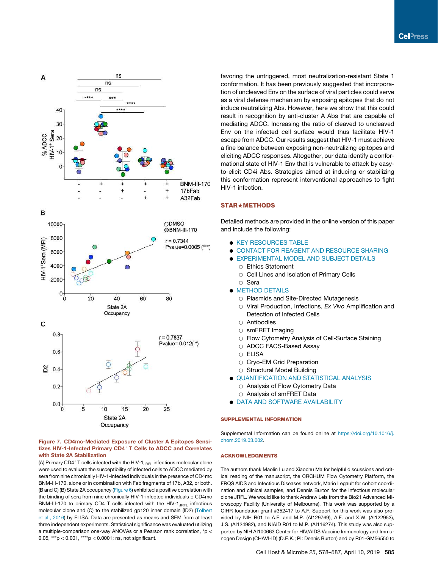

#### Figure 7. CD4mc-Mediated Exposure of Cluster A Epitopes Sensitizes HIV-1-Infected Primary CD4<sup>+</sup> T Cells to ADCC and Correlates with State 2A Stabilization

(A) Primary CD4<sup>+</sup> T cells infected with the HIV-1<sub>JRFL</sub> infectious molecular clone were used to evaluate the susceptibility of infected cells to ADCC mediated by sera from nine chronically HIV-1-infected individuals in the presence of CD4mc BNM-III-170, alone or in combination with Fab fragments of 17b, A32, or both. (B and C) (B) State 2A occupancy (Figure 6) exhibited a positive correlation with the binding of sera from nine chronically HIV-1-infected individuals  $\pm$  CD4mc BNM-III-170 to primary CD4 T cells infected with the HIV- $1_{J\text{RFL}}$  infectious molecular clone and (C) to the stabilized gp120 inner domain (ID2) (Tolbert et al., 2016) by ELISA. Data are presented as means and SEM from at least three independent experiments. Statistical significance was evaluated utilizing a multiple-comparison one-way ANOVAs or a Pearson rank correlation, \*p < 0.05, \*\*\*p < 0.001, \*\*\*\*p < 0.0001; ns, not significant.

favoring the untriggered, most neutralization-resistant State 1 conformation. It has been previously suggested that incorporation of uncleaved Env on the surface of viral particles could serve as a viral defense mechanism by exposing epitopes that do not induce neutralizing Abs. However, here we show that this could result in recognition by anti-cluster A Abs that are capable of mediating ADCC. Increasing the ratio of cleaved to uncleaved Env on the infected cell surface would thus facilitate HIV-1 escape from ADCC. Our results suggest that HIV-1 must achieve a fine balance between exposing non-neutralizing epitopes and eliciting ADCC responses. Altogether, our data identify a conformational state of HIV-1 Env that is vulnerable to attack by easyto-elicit CD4i Abs. Strategies aimed at inducing or stabilizing this conformation represent interventional approaches to fight HIV-1 infection.

#### **STAR★METHODS**

Detailed methods are provided in the online version of this paper and include the following:

- **KEY RESOURCES TABLE**
- CONTACT FOR REAGENT AND RESOURCE SHARING
- EXPERIMENTAL MODEL AND SUBJECT DETAILS  $\circ$  Ethics Statement
	- $\circ$  Cell Lines and Isolation of Primary Cells
	- $\circ$  Sera
- **METHOD DETAILS** 
	- O Plasmids and Site-Directed Mutagenesis
	- B Viral Production, Infections, *Ex Vivo* Amplification and Detection of Infected Cells
	- $\circ$  Antibodies
	- $\circ$  smFRET Imaging
	- $\circ$  Flow Cytometry Analysis of Cell-Surface Staining
	- O ADCC FACS-Based Assay
	- $\circ$  ELISA
	- Cryo-EM Grid Preparation
	- $\circ$  Structural Model Building
- **. QUANTIFICATION AND STATISTICAL ANALYSIS** 
	- $\circ$  Analysis of Flow Cytometry Data
	- O Analysis of smFRET Data
- **. DATA AND SOFTWARE AVAILABILITY**

#### SUPPLEMENTAL INFORMATION

Supplemental Information can be found online at https://doi.org/10.1016/j. chom.2019.03.002.

#### ACKNOWLEDGMENTS

The authors thank Maolin Lu and Xiaochu Ma for helpful discussions and critical reading of the manuscript, the CRCHUM Flow Cytometry Platform, the FRQS AIDS and Infectious Diseases network, Mario Legault for cohort coordination and clinical samples, and Dennis Burton for the infectious molecular clone JRFL. We would like to thank Andrew Leis from the Bio21 Advanced Microscopy Facility (University of Melbourne). This work was supported by a CIHR foundation grant #352417 to A.F. Support for this work was also provided by NIH R01 to A.F. and M.P. (AI129769), A.F. and X.W. (AI122953), J.S. (AI124982), and NIAID R01 to M.P. (AI116274). This study was also supported by NIH AI100663 Center for HIV/AIDS Vaccine Immunology and Immunogen Design (CHAVI-ID) (D.E.K.; PI: Dennis Burton) and by R01-GM56550 to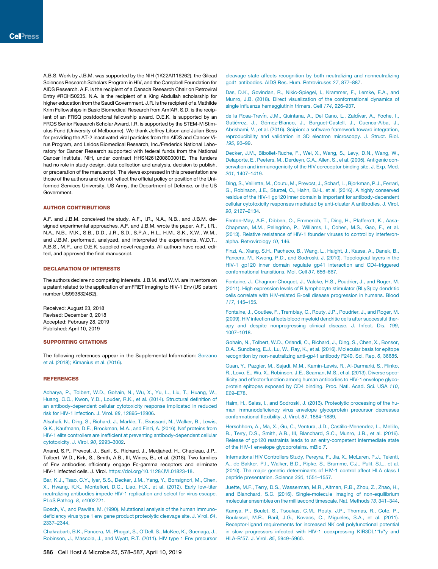A.B.S. Work by J.B.M. was supported by the NIH (1K22AI116262), the Gilead Sciences Research Scholars Program in HIV, and the Campbell Foundation for AIDS Research. A.F. is the recipient of a Canada Research Chair on Retroviral Entry #RCHS0235. N.A. is the recipient of a King Abdullah scholarship for higher education from the Saudi Government. J.R. is the recipient of a Mathilde Krim Fellowships in Basic Biomedical Research from AmfAR. S.D. is the recipient of an FRSQ postdoctoral fellowship award. D.E.K. is supported by an FRQS Senior Research Scholar Award. I.R. is supported by the STEM-M Stimulus Fund (University of Melbourne). We thank Jeffrey Lifson and Julian Bess for providing the AT-2 inactivated viral particles from the AIDS and Cancer Virus Program, and Leidos Biomedical Research, Inc./Frederick National Laboratory for Cancer Research supported with federal funds from the National Cancer Institute, NIH, under contract HHSN261200800001E. The funders had no role in study design, data collection and analysis, decision to publish, or preparation of the manuscript. The views expressed in this presentation are those of the authors and do not reflect the official policy or position of the Uniformed Services University, US Army, the Department of Defense, or the US Government.

#### AUTHOR CONTRIBUTIONS

A.F. and J.B.M. conceived the study. A.F., I.R., N.A., N.B., and J.B.M. designed experimental approaches. A.F. and J.B.M. wrote the paper. A.F., I.R., N.A., N.B., M.K., S.B., D.D., J.R., S.D., S.P.A., H.L., H.M., S.K., X.W., W.M., and J.B.M. performed, analyzed, and interpreted the experiments. W.D.T., A.B.S., M.P., and D.E.K. supplied novel reagents. All authors have read, edited, and approved the final manuscript.

#### DECLARATION OF INTERESTS

The authors declare no competing interests. J.B.M. and W.M. are inventors on a patent related to the application of smFRET imaging to HIV-1 Env (US patent number US9938324B2).

Received: August 23, 2018 Revised: December 3, 2018 Accepted: February 28, 2019 Published: April 10, 2019

#### SUPPORTING CITATIONS

The following references appear in the Supplemental Information: Sorzano et al. (2018); Kimanius et al. (2016).

#### REFERENCES

Acharya, P., Tolbert, W.D., Gohain, N., Wu, X., Yu, L., Liu, T., Huang, W., Huang, C.C., Kwon, Y.D., Louder, R.K., et al. (2014). Structural definition of an antibody-dependent cellular cytotoxicity response implicated in reduced risk for HIV-1 infection. J. Virol. *88*, 12895–12906.

Alsahafi, N., Ding, S., Richard, J., Markle, T., Brassard, N., Walker, B., Lewis, G.K., Kaufmann, D.E., Brockman, M.A., and Finzi, A. (2016). Nef proteins from HIV-1 elite controllers are inefficient at preventing antibody-dependent cellular cytotoxicity. J. Virol. *90*, 2993–3002.

Anand, S.P., Prevost, J., Baril, S., Richard, J., Medjahed, H., Chapleau, J.P., Tolbert, W.D., Kirk, S., Smith, A.B., III, Wines, B., et al. (2018). Two families of Env antibodies efficiently engage Fc-gamma receptors and eliminate HIV-1 infected cells. J. Virol. https://doi.org/10.1128/JVI.01823-18.

Bar, K.J., Tsao, C.Y., Iyer, S.S., Decker, J.M., Yang, Y., Bonsignori, M., Chen, X., Hwang, K.K., Montefiori, D.C., Liao, H.X., et al. (2012). Early low-titer neutralizing antibodies impede HIV-1 replication and select for virus escape. PLoS Pathog. *8*, e1002721.

Bosch, V., and Pawlita, M. (1990). Mutational analysis of the human immunodeficiency virus type 1 env gene product proteolytic cleavage site. J. Virol. *64*, 2337–2344.

Chakrabarti, B.K., Pancera, M., Phogat, S., O'Dell, S., McKee, K., Guenaga, J., Robinson, J., Mascola, J., and Wyatt, R.T. (2011). HIV type 1 Env precursor

cleavage state affects recognition by both neutralizing and nonneutralizing gp41 antibodies. AIDS Res. Hum. Retroviruses *27*, 877–887.

Das, D.K., Govindan, R., Nikic-Spiegel, I., Krammer, F., Lemke, E.A., and Munro, J.B. (2018). Direct visualization of the conformational dynamics of single influenza hemagglutinin trimers. Cell *174*, 926–937.

de la Rosa-Trevín, J.M., Quintana, A., Del Cano, L., Zaldívar, A., Foche, I., Gutiérrez, J., Gómez-Blanco, J., Burguet-Castell, J., Cuenca-Alba, J., Abrishami, V., et al. (2016). Scipion: a software framework toward integration, reproducibility and validation in 3D electron microscopy. J. Struct. Biol. *195*, 93–99.

Decker, J.M., Bibollet-Ruche, F., Wei, X., Wang, S., Levy, D.N., Wang, W., Delaporte, E., Peeters, M., Derdeyn, C.A., Allen, S., et al. (2005). Antigenic conservation and immunogenicity of the HIV coreceptor binding site. J. Exp. Med. *201*, 1407–1419.

Ding, S., Veillette, M., Coutu, M., Prevost, J., Scharf, L., Bjorkman, P.J., Ferrari, G., Robinson, J.E., Sturzel, C., Hahn, B.H., et al. (2016). A highly conserved residue of the HIV-1 gp120 inner domain is important for antibody-dependent cellular cytotoxicity responses mediated by anti-cluster A antibodies. J. Virol. *90*, 2127–2134.

Fenton-May, A.E., Dibben, O., Emmerich, T., Ding, H., Pfafferott, K., Aasa-Chapman, M.M., Pellegrino, P., Williams, I., Cohen, M.S., Gao, F., et al. (2013). Relative resistance of HIV-1 founder viruses to control by interferonalpha. Retrovirology *10*, 146.

Finzi, A., Xiang, S.H., Pacheco, B., Wang, L., Haight, J., Kassa, A., Danek, B., Pancera, M., Kwong, P.D., and Sodroski, J. (2010). Topological layers in the HIV-1 gp120 inner domain regulate gp41 interaction and CD4-triggered conformational transitions. Mol. Cell *37*, 656–667.

Fontaine, J., Chagnon-Choquet, J., Valcke, H.S., Poudrier, J., and Roger, M. (2011). High expression levels of B lymphocyte stimulator (BLyS) by dendritic cells correlate with HIV-related B-cell disease progression in humans. Blood *117*, 145–155.

Fontaine, J., Coutlee, F., Tremblay, C., Routy, J.P., Poudrier, J., and Roger, M. (2009). HIV infection affects blood myeloid dendritic cells after successful therapy and despite nonprogressing clinical disease. J. Infect. Dis. *199*, 1007–1018.

Gohain, N., Tolbert, W.D., Orlandi, C., Richard, J., Ding, S., Chen, X., Bonsor, D.A., Sundberg, E.J., Lu, W., Ray, K., et al. (2016). Molecular basis for epitope recognition by non-neutralizing anti-gp41 antibody F240. Sci. Rep. *6*, 36685.

Guan, Y., Pazgier, M., Sajadi, M.M., Kamin-Lewis, R., Al-Darmarki, S., Flinko, R., Lovo, E., Wu, X., Robinson, J.E., Seaman, M.S., et al. (2013). Diverse specificity and effector function among human antibodies to HIV-1 envelope glycoprotein epitopes exposed by CD4 binding. Proc. Natl. Acad. Sci. USA *110*, E69–E78.

Haim, H., Salas, I., and Sodroski, J. (2013). Proteolytic processing of the human immunodeficiency virus envelope glycoprotein precursor decreases conformational flexibility. J. Virol. *87*, 1884–1889.

Herschhorn, A., Ma, X., Gu, C., Ventura, J.D., Castillo-Menendez, L., Melillo, B., Terry, D.S., Smith, A.B., III, Blanchard, S.C., Munro, J.B., et al. (2016). Release of gp120 restraints leads to an entry-competent intermediate state of the HIV-1 envelope glycoproteins. mBio *7*.

International HIV Controllers Study, Pereyra, F., Jia, X., McLaren, P.J., Telenti, A., de Bakker, P.I., Walker, B.D., Ripke, S., Brumme, C.J., Pulit, S.L., et al. (2010). The major genetic determinants of HIV-1 control affect HLA class I peptide presentation. Science *330*, 1551–1557.

Juette, M.F., Terry, D.S., Wasserman, M.R., Altman, R.B., Zhou, Z., Zhao, H., and Blanchard, S.C. (2016). Single-molecule imaging of non-equilibrium molecular ensembles on the millisecond timescale. Nat. Methods *13*, 341–344.

Kamya, P., Boulet, S., Tsoukas, C.M., Routy, J.P., Thomas, R., Cote, P., Boulassel, M.R., Baril, J.G., Kovacs, C., Migueles, S.A., et al. (2011). Receptor-ligand requirements for increased NK cell polyfunctional potential in slow progressors infected with HIV-1 coexpressing KIR3DL1\*h/\*y and HLA-B\*57. J. Virol. *85*, 5949–5960.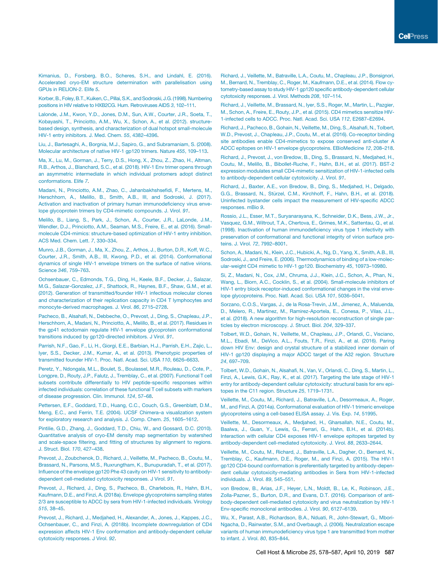Kimanius, D., Forsberg, B.O., Scheres, S.H., and Lindahl, E. (2016). Accelerated cryo-EM structure determination with parallelisation using GPUs in RELION-2. Elife *5*.

Korber,B., Foley,B.T., Kuiken, C.,Pillai, S.K., and Sodroski, J.G.(1998). Numbering positions in HIV relative to HXB2CG. Hum. Retroviruses AIDS *3*, 102–111.

Lalonde, J.M., Kwon, Y.D., Jones, D.M., Sun, A.W., Courter, J.R., Soeta, T., Kobayashi, T., Princiotto, A.M., Wu, X., Schon, A., et al. (2012). structurebased design, synthesis, and characterization of dual hotspot small-molecule HIV-1 entry inhibitors. J. Med. Chem. *55*, 4382–4396.

Liu, J., Bartesaghi, A., Borgnia, M.J., Sapiro, G., and Subramaniam, S. (2008). Molecular architecture of native HIV-1 gp120 trimers. Nature *455*, 109–113.

Ma, X., Lu, M., Gorman, J., Terry, D.S., Hong, X., Zhou, Z., Zhao, H., Altman, R.B., Arthos, J., Blanchard, S.C., et al. (2018). HIV-1 Env trimer opens through an asymmetric intermediate in which individual protomers adopt distinct conformations. Elife *7*.

Madani, N., Princiotto, A.M., Zhao, C., Jahanbakhshsefidi, F., Mertens, M., Herschhorn, A., Melillo, B., Smith, A.B., III, and Sodroski, J. (2017). Activation and inactivation of primary human immunodeficiency virus envelope glycoprotein trimers by CD4-mimetic compounds. J. Virol. *91*.

Melillo, B., Liang, S., Park, J., Schon, A., Courter, J.R., LaLonde, J.M., Wendler, D.J., Princiotto, A.M., Seaman, M.S., Freire, E., et al. (2016). Smallmolecule CD4-mimics: structure-based optimization of HIV-1 entry inhibition. ACS Med. Chem. Lett. *7*, 330–334.

Munro, J.B., Gorman, J., Ma, X., Zhou, Z., Arthos, J., Burton, D.R., Koff, W.C., Courter, J.R., Smith, A.B., III, Kwong, P.D., et al. (2014). Conformational dynamics of single HIV-1 envelope trimers on the surface of native virions. Science *346*, 759–763.

Ochsenbauer, C., Edmonds, T.G., Ding, H., Keele, B.F., Decker, J., Salazar, M.G., Salazar-Gonzalez, J.F., Shattock, R., Haynes, B.F., Shaw, G.M., et al. (2012). Generation of transmitted/founder HIV-1 infectious molecular clones and characterization of their replication capacity in CD4 T lymphocytes and monocyte-derived macrophages. J. Virol. *86*, 2715–2728.

Pacheco, B., Alsahafi, N., Debbeche, O., Prevost, J., Ding, S., Chapleau, J.P., Herschhorn, A., Madani, N., Princiotto, A., Melillo, B., et al. (2017). Residues in the gp41 ectodomain regulate HIV-1 envelope glycoprotein conformational transitions induced by gp120-directed inhibitors. J Virol. *91*.

Parrish, N.F., Gao, F., Li, H., Giorgi, E.E., Barbian, H.J., Parrish, E.H., Zajic, L., Iyer, S.S., Decker, J.M., Kumar, A., et al. (2013). Phenotypic properties of transmitted founder HIV-1. Proc. Natl. Acad. Sci. USA *110*, 6626–6633.

Peretz, Y., Ndongala, M.L., Boulet, S., Boulassel, M.R., Rouleau, D., Cote, P., Longpre, D., Routy, J.P., Falutz, J., Tremblay, C., et al. (2007). Functional T cell subsets contribute differentially to HIV peptide-specific responses within infected individuals: correlation of these functional T cell subsets with markers of disease progression. Clin. Immunol. *124*, 57–68.

Pettersen, E.F., Goddard, T.D., Huang, C.C., Couch, G.S., Greenblatt, D.M., Meng, E.C., and Ferrin, T.E. (2004). UCSF Chimera–a visualization system for exploratory research and analysis. J. Comp. Chem. *25*, 1605–1612.

Pintilie, G.D., Zhang, J., Goddard, T.D., Chiu, W., and Gossard, D.C. (2010). Quantitative analysis of cryo-EM density map segmentation by watershed and scale-space filtering, and fitting of structures by alignment to regions. J. Struct. Biol. *170*, 427–438.

Prevost, J., Zoubchenok, D., Richard, J., Veillette, M., Pacheco, B., Coutu, M., Brassard, N., Parsons, M.S., Ruxrungtham, K., Bunupuradah, T., et al. (2017). Influence of the envelope gp120 Phe 43 cavity on HIV-1 sensitivity to antibodydependent cell-mediated cytotoxicity responses. J Virol. *91*.

Prevost, J., Richard, J., Ding, S., Pacheco, B., Charlebois, R., Hahn, B.H., Kaufmann, D.E., and Finzi, A. (2018a). Envelope glycoproteins sampling states 2/3 are susceptible to ADCC by sera from HIV-1-infected individuals. Virology *515*, 38–45.

Prevost, J., Richard, J., Medjahed, H., Alexander, A., Jones, J., Kappes, J.C., Ochsenbauer, C., and Finzi, A. (2018b). Incomplete downregulation of CD4 expression affects HIV-1 Env conformation and antibody-dependent cellular cytotoxicity responses. J Virol. *92*.

Richard, J., Veillette, M., Batraville, L.A., Coutu, M., Chapleau, J.P., Bonsignori, M., Bernard, N., Tremblay, C., Roger, M., Kaufmann, D.E., et al. (2014). Flow cytometry-based assay to study HIV-1 gp120 specific antibody-dependent cellular cytotoxicity responses. J. Virol. Methods *208*, 107–114.

Richard, J., Veillette, M., Brassard, N., Iyer, S.S., Roger, M., Martin, L., Pazgier, M., Schon, A., Freire, E., Routy, J.P., et al. (2015). CD4 mimetics sensitize HIV-1-infected cells to ADCC. Proc. Natl. Acad. Sci. USA *112*, E2687–E2694.

Richard, J., Pacheco, B., Gohain, N., Veillette, M., Ding, S., Alsahafi, N., Tolbert, W.D., Prevost, J., Chapleau, J.P., Coutu, M., et al. (2016). Co-receptor binding site antibodies enable CD4-mimetics to expose conserved anti-cluster A ADCC epitopes on HIV-1 envelope glycoproteins. EBioMedicine *12*, 208–218.

Richard, J., Prevost, J., von Bredow, B., Ding, S., Brassard, N., Medjahed, H., Coutu, M., Melillo, B., Bibollet-Ruche, F., Hahn, B.H., et al. (2017). BST-2 expression modulates small CD4-mimetic sensitization of HIV-1-infected cells to antibody-dependent cellular cytotoxicity. J. Virol. *91*.

Richard, J., Baxter, A.E., von Bredow, B., Ding, S., Medjahed, H., Delgado, G.G., Brassard, N., Stürzel, C.M., Kirchhoff, F., Hahn, B.H., et al. (2018). Uninfected bystander cells impact the measurement of HIV-specific ADCC responses. mBio *9*.

Rossio, J.L., Esser, M.T., Suryanarayana, K., Schneider, D.K., Bess, J.W., Jr., Vasquez, G.M., Wiltrout, T.A., Chertova, E., Grimes, M.K., Sattentau, Q., et al. (1998). Inactivation of human immunodeficiency virus type 1 infectivity with preservation of conformational and functional integrity of virion surface proteins. J. Virol. *72*, 7992–8001.

Schon, A., Madani, N., Klein, J.C., Hubicki, A., Ng, D., Yang, X., Smith, A.B., III, Sodroski, J., and Freire, E. (2006). Thermodynamics of binding of a low-molecular-weight CD4 mimetic to HIV-1 gp120. Biochemistry *45*, 10973–10980.

Si, Z., Madani, N., Cox, J.M., Chruma, J.J., Klein, J.C., Schon, A., Phan, N., Wang, L., Biorn, A.C., Cocklin, S., et al. (2004). Small-molecule inhibitors of HIV-1 entry block receptor-induced conformational changes in the viral envelope glycoproteins. Proc. Natl. Acad. Sci. USA *101*, 5036–5041.

Sorzano, C.O.S., Vargas, J., de la Rosa-Trevin, J.M., Jimenez, A., Maluenda, D., Melero, R., Martinez, M., Ramirez-Aportela, E., Conesa, P., Vilas, J.L., et al. (2018). A new algorithm for high-resolution reconstruction of single particles by electron microscopy. J. Struct. Biol. *204*, 329–337.

Tolbert, W.D., Gohain, N., Veillette, M., Chapleau, J.P., Orlandi, C., Visciano, M.L., Ebadi, M., DeVico, A.L., Fouts, T.R., Finzi, A., et al. (2016). Paring down HIV Env: design and crystal structure of a stabilized inner domain of HIV-1 gp120 displaying a major ADCC target of the A32 region. Structure *24*, 697–709.

Tolbert, W.D., Gohain, N., Alsahafi, N., Van, V., Orlandi, C., Ding, S., Martin, L., Finzi, A., Lewis, G.K., Ray, K., et al. (2017). Targeting the late stage of HIV-1 entry for antibody-dependent cellular cytotoxicity: structural basis for env epitopes in the C11 region. Structure *25*, 1719–1731.

Veillette, M., Coutu, M., Richard, J., Batraville, L.A., Desormeaux, A., Roger, M., and Finzi, A. (2014a). Conformational evaluation of HIV-1 trimeric envelope glycoproteins using a cell-based ELISA assay. J. Vis. Exp. *14*, 51995.

Veillette, M., Desormeaux, A., Medjahed, H., Gharsallah, N.E., Coutu, M., Baalwa, J., Guan, Y., Lewis, G., Ferrari, G., Hahn, B.H., et al. (2014b). Interaction with cellular CD4 exposes HIV-1 envelope epitopes targeted by antibody-dependent cell-mediated cytotoxicity. J. Virol. *88*, 2633–2644.

Veillette, M., Coutu, M., Richard, J., Batraville, L.A., Dagher, O., Bernard, N., Tremblay, C., Kaufmann, D.E., Roger, M., and Finzi, A. (2015). The HIV-1 gp120 CD4-bound conformation is preferentially targeted by antibody-dependent cellular cytotoxicity-mediating antibodies in Sera from HIV-1-infected individuals. J. Virol. *89*, 545–551.

von Bredow, B., Arias, J.F., Heyer, L.N., Moldt, B., Le, K., Robinson, J.E., Zolla-Pazner, S., Burton, D.R., and Evans, D.T. (2016). Comparison of antibody-dependent cell-mediated cytotoxicity and virus neutralization by HIV-1 Env-specific monoclonal antibodies. J. Virol. *90*, 6127–6139.

Wu, X., Parast, A.B., Richardson, B.A., Nduati, R., John-Stewart, G., Mbori-Ngacha, D., Rainwater, S.M., and Overbaugh, J. (2006). Neutralization escape variants of human immunodeficiency virus type 1 are transmitted from mother to infant. J. Virol. *80*, 835–844.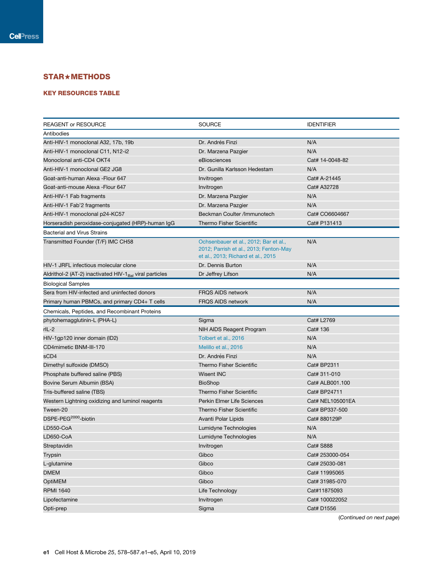### STAR+METHODS

#### KEY RESOURCES TABLE

| <b>REAGENT or RESOURCE</b>                                          | <b>SOURCE</b>                          | <b>IDENTIFIER</b>            |
|---------------------------------------------------------------------|----------------------------------------|------------------------------|
| Antibodies                                                          |                                        |                              |
| Anti-HIV-1 monoclonal A32, 17b, 19b                                 | Dr. Andrés Finzi                       | N/A                          |
| Anti-HIV-1 monoclonal C11, N12-i2                                   | Dr. Marzena Pazgier                    | N/A                          |
| Monoclonal anti-CD4 OKT4                                            | eBiosciences                           | Cat# 14-0048-82              |
| Anti-HIV-1 monoclonal GE2 JG8                                       | Dr. Gunilla Karlsson Hedestam          | N/A                          |
| Goat-anti-human Alexa - Flour 647                                   | Invitrogen                             | Cat# A-21445                 |
| Goat-anti-mouse Alexa - Flour 647                                   | Invitrogen                             | Cat# A32728                  |
| Anti-HIV-1 Fab fragments                                            | Dr. Marzena Pazgier                    | N/A                          |
| Anti-HIV-1 Fab'2 fragments                                          | Dr. Marzena Pazgier                    | N/A                          |
| Anti-HIV-1 monoclonal p24-KC57                                      | Beckman Coulter /Immunotech            | Cat# CO6604667               |
| Horseradish peroxidase-conjugated (HRP)-human IgG                   | <b>Thermo Fisher Scientific</b>        | Cat# P131413                 |
| <b>Bacterial and Virus Strains</b>                                  |                                        |                              |
| Transmitted Founder (T/F) IMC CH58                                  | Ochsenbauer et al., 2012; Bar et al.,  | N/A                          |
|                                                                     | 2012; Parrish et al., 2013; Fenton-May |                              |
|                                                                     | et al., 2013; Richard et al., 2015     |                              |
| HIV-1 JRFL infectious molecular clone                               | Dr. Dennis Burton                      | N/A                          |
| Aldrithol-2 (AT-2) inactivated HIV-1 <sub>Bal</sub> viral particles | Dr Jeffrey Lifson                      | N/A                          |
| <b>Biological Samples</b>                                           |                                        |                              |
| Sera from HIV-infected and uninfected donors                        | <b>FRQS AIDS network</b>               | N/A                          |
| Primary human PBMCs, and primary CD4+ T cells                       | <b>FRQS AIDS network</b>               | N/A                          |
| Chemicals, Peptides, and Recombinant Proteins                       |                                        |                              |
|                                                                     |                                        |                              |
| phytohemagglutinin-L (PHA-L)                                        | Sigma                                  | Cat# L2769                   |
| rIL-2                                                               | NIH AIDS Reagent Program               | Cat# 136                     |
| HIV-1gp120 inner domain (ID2)                                       | Tolbert et al., 2016                   | N/A                          |
| CD4mimetic BNM-III-170                                              | Melillo et al., 2016                   | N/A                          |
| sCD4                                                                | Dr. Andrés Finzi                       | N/A                          |
| Dimethyl sulfoxide (DMSO)                                           | <b>Thermo Fisher Scientific</b>        | Cat# BP2311                  |
| Phosphate buffered saline (PBS)                                     | <b>Wisent INC</b>                      | Cat# 311-010                 |
| Bovine Serum Albumin (BSA)                                          | <b>BioShop</b>                         | Cat# ALB001.100              |
| Tris-buffered saline (TBS)                                          | Thermo Fisher Scientific               | Cat# BP24711                 |
|                                                                     | Perkin Elmer Life Sciences             | Cat# NEL105001EA             |
| Western Lightning oxidizing and luminol reagents                    |                                        | Cat# BP337-500               |
| Tween-20                                                            | <b>Thermo Fisher Scientific</b>        |                              |
| DSPE-PEG <sup>2000</sup> -biotin                                    | Avanti Polar Lipids                    | Cat# 880129P                 |
| LD550-CoA                                                           | Lumidyne Technologies                  | N/A                          |
| LD650-CoA                                                           | Lumidyne Technologies                  | N/A                          |
| Streptavidin                                                        | Invitrogen                             | Cat# S888                    |
| Trypsin                                                             | Gibco                                  | Cat# 253000-054              |
| L-glutamine                                                         | Gibco                                  | Cat# 25030-081               |
| <b>DMEM</b>                                                         | Gibco                                  | Cat# 11995065                |
| <b>OptiMEM</b>                                                      | Gibco                                  | Cat# 31985-070               |
| <b>RPMI 1640</b>                                                    | Life Technology                        | Cat#11875093                 |
| Lipofectamine<br>Opti-prep                                          | Invitrogen<br>Sigma                    | Cat# 100022052<br>Cat# D1556 |

(*Continued on next page*)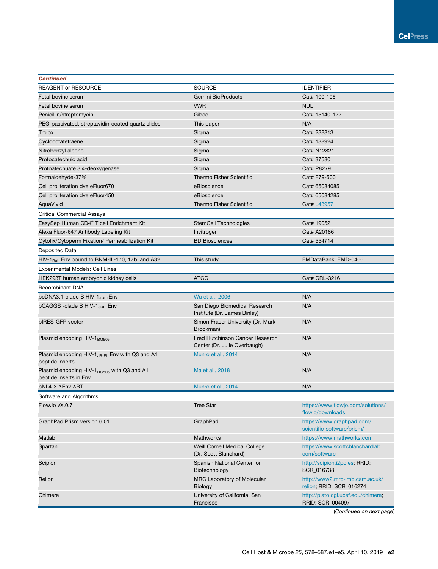| <b>Continued</b>                                                               |                                                                 |                                                            |
|--------------------------------------------------------------------------------|-----------------------------------------------------------------|------------------------------------------------------------|
| <b>REAGENT or RESOURCE</b>                                                     | <b>SOURCE</b>                                                   | <b>IDENTIFIER</b>                                          |
| Fetal bovine serum                                                             | Gemini BioProducts                                              | Cat# 100-106                                               |
| Fetal bovine serum                                                             | <b>VWR</b>                                                      | <b>NUL</b>                                                 |
| Penicillin/streptomycin                                                        | Gibco                                                           | Cat# 15140-122                                             |
| PEG-passivated, streptavidin-coated quartz slides                              | This paper                                                      | N/A                                                        |
| Trolox                                                                         | Sigma                                                           | Cat# 238813                                                |
| Cyclooctatetraene                                                              | Sigma                                                           | Cat# 138924                                                |
| Nitrobenzyl alcohol                                                            | Sigma                                                           | Cat# N12821                                                |
| Protocatechuic acid                                                            | Sigma                                                           | Cat# 37580                                                 |
| Protoatechuate 3,4-deoxygenase                                                 | Sigma                                                           | Cat# P8279                                                 |
| Formaldehyde-37%                                                               | <b>Thermo Fisher Scientific</b>                                 | Cat# F79-500                                               |
| Cell proliferation dye eFluor670                                               | eBioscience                                                     | Cat# 65084085                                              |
| Cell proliferation dye eFluor450                                               | eBioscience                                                     | Cat# 65084285                                              |
| AquaVivid                                                                      | <b>Thermo Fisher Scientific</b>                                 | Cat# L43957                                                |
| <b>Critical Commercial Assays</b>                                              |                                                                 |                                                            |
| EasySep Human CD4 <sup>+</sup> T cell Enrichment Kit                           | StemCell Technologies                                           | Cat# 19052                                                 |
| Alexa Fluor-647 Antibody Labeling Kit                                          | Invitrogen                                                      | Cat# A20186                                                |
| Cytofix/Cytoperm Fixation/ Permeabilization Kit                                | <b>BD Biosciences</b>                                           | Cat# 554714                                                |
| Deposited Data                                                                 |                                                                 |                                                            |
| $HIV-1Bal$ Env bound to BNM-III-170, 17b, and A32                              | This study                                                      | EMDataBank: EMD-0466                                       |
| <b>Experimental Models: Cell Lines</b>                                         |                                                                 |                                                            |
| HEK293T human embryonic kidney cells                                           | <b>ATCC</b>                                                     | Cat# CRL-3216                                              |
| Recombinant DNA                                                                |                                                                 |                                                            |
| pcDNA3.1-clade B HIV-1 <sub>JRFL</sub> Env                                     | Wu et al., 2006                                                 | N/A                                                        |
| pCAGGS -clade B HIV-1 <sub>JRFL</sub> Env                                      | San Diego Biomedical Research<br>Institute (Dr. James Binley)   | N/A                                                        |
| pIRES-GFP vector                                                               | Simon Fraser University (Dr. Mark<br>Brockman)                  | N/A                                                        |
| Plasmid encoding HIV-1 <sub>BG505</sub>                                        | Fred Hutchinson Cancer Research<br>Center (Dr. Julie Overbaugh) | N/A                                                        |
| Plasmid encoding HIV-1 $_{\text{JR-FL}}$ Env with Q3 and A1<br>peptide inserts | Munro et al., 2014                                              | N/A                                                        |
| Plasmid encoding HIV- $1_{BG505}$ with Q3 and A1<br>peptide inserts in Env     | Ma et al., 2018                                                 | N/A                                                        |
| pNL4-3 ∆Env ∆RT                                                                | Munro et al., 2014                                              | N/A                                                        |
| Software and Algorithms                                                        |                                                                 |                                                            |
| FlowJo vX.0.7                                                                  | <b>Tree Star</b>                                                | https://www.flowjo.com/solutions/<br>flowjo/downloads      |
| GraphPad Prism version 6.01                                                    | GraphPad                                                        | https://www.graphpad.com/<br>scientific-software/prism/    |
| Matlab                                                                         | <b>Mathworks</b>                                                | https://www.mathworks.com                                  |
| Spartan                                                                        | Weill Cornell Medical College<br>(Dr. Scott Blanchard)          | https://www.scottcblanchardlab.<br>com/software            |
| Scipion                                                                        | Spanish National Center for<br>Biotechnology                    | http://scipion.i2pc.es; RRID:<br>SCR_016738                |
| Relion                                                                         | MRC Laboratory of Molecular<br>Biology                          | http://www2.mrc-lmb.cam.ac.uk/<br>relion; RRID: SCR_016274 |
| Chimera                                                                        | University of California, San<br>Francisco                      | http://plato.cgl.ucsf.edu/chimera;<br>RRID: SCR_004097     |

(*Continued on next page*)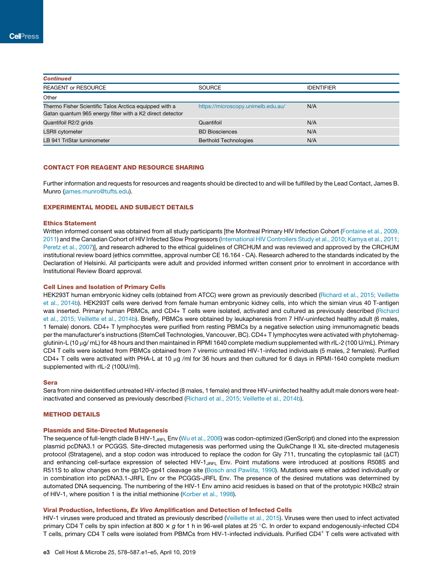| <b>Continued</b>                                                                                                    |                                    |                   |
|---------------------------------------------------------------------------------------------------------------------|------------------------------------|-------------------|
| <b>REAGENT or RESOURCE</b>                                                                                          | SOURCE                             | <b>IDENTIFIER</b> |
| Other                                                                                                               |                                    |                   |
| Thermo Fisher Scientific Talos Arctica equipped with a<br>Gatan quantum 965 energy filter with a K2 direct detector | https://microscopy.unimelb.edu.au/ | N/A               |
| Quantifoil R2/2 grids                                                                                               | Quantifoil                         | N/A               |
| <b>LSRII</b> cytometer                                                                                              | <b>BD Biosciences</b>              | N/A               |
| LB 941 TriStar luminometer                                                                                          | <b>Berthold Technologies</b>       | N/A               |

#### CONTACT FOR REAGENT AND RESOURCE SHARING

Further information and requests for resources and reagents should be directed to and will be fulfilled by the Lead Contact, James B. Munro (james.munro@tufts.edu).

#### EXPERIMENTAL MODEL AND SUBJECT DETAILS

#### Ethics Statement

Written informed consent was obtained from all study participants [the Montreal Primary HIV Infection Cohort (Fontaine et al., 2009, 2011) and the Canadian Cohort of HIV Infected Slow Progressors (International HIV Controllers Study et al., 2010; Kamya et al., 2011; Peretz et al., 2007)], and research adhered to the ethical guidelines of CRCHUM and was reviewed and approved by the CRCHUM institutional review board (ethics committee, approval number CE 16.164 - CA). Research adhered to the standards indicated by the Declaration of Helsinki. All participants were adult and provided informed written consent prior to enrolment in accordance with Institutional Review Board approval.

#### Cell Lines and Isolation of Primary Cells

HEK293T human embryonic kidney cells (obtained from ATCC) were grown as previously described (Richard et al., 2015; Veillette et al., 2014b). HEK293T cells were derived from female human embryonic kidney cells, into which the simian virus 40 T-antigen was inserted. Primary human PBMCs, and CD4+ T cells were isolated, activated and cultured as previously described (Richard et al., 2015; Veillette et al., 2014b). Briefly, PBMCs were obtained by leukapheresis from 7 HIV-uninfected healthy adult (6 males, 1 female) donors. CD4+ T lymphocytes were purified from resting PBMCs by a negative selection using immunomagnetic beads per the manufacturer's instructions (StemCell Technologies, Vancouver, BC). CD4+ T lymphocytes were activated with phytohemagglutinin-L (10 µg/ mL) for 48 hours and then maintained in RPMI 1640 complete medium supplemented with rIL-2 (100 U/mL). Primary CD4 T cells were isolated from PBMCs obtained from 7 viremic untreated HIV-1-infected individuals (5 males, 2 females). Purified CD4+ T cells were activated with PHA-L at 10  $\mu$ g /ml for 36 hours and then cultured for 6 days in RPMI-1640 complete medium supplemented with rIL-2 (100U/ml).

#### Sera

Sera from nine deidentified untreated HIV-infected (8 males, 1 female) and three HIV-uninfected healthy adult male donors were heatinactivated and conserved as previously described (Richard et al., 2015; Veillette et al., 2014b).

#### METHOD DETAILS

#### Plasmids and Site-Directed Mutagenesis

The sequence of full-length clade B HIV-1<sub>JRFL</sub> Env (Wu et al., 2006) was codon-optimized (GenScript) and cloned into the expression plasmid pcDNA3.1 or PCGGS. Site-directed mutagenesis was performed using the QuikChange II XL site-directed mutagenesis protocol (Stratagene), and a stop codon was introduced to replace the codon for Gly 711, truncating the cytoplasmic tail ( $\Delta$ CT) and enhancing cell-surface expression of selected HIV- $1_{JRFL}$  Env. Point mutations were introduced at positions R508S and R511S to allow changes on the gp120-gp41 cleavage site (Bosch and Pawlita, 1990). Mutations were either added individually or in combination into pcDNA3.1-JRFL Env or the PCGGS-JRFL Env. The presence of the desired mutations was determined by automated DNA sequencing. The numbering of the HIV-1 Env amino acid residues is based on that of the prototypic HXBc2 strain of HIV-1, where position 1 is the initial methionine (Korber et al., 1998).

#### Viral Production, Infections, Ex Vivo Amplification and Detection of Infected Cells

HIV-1 viruses were produced and titrated as previously described (Veillette et al., 2015). Viruses were then used to infect activated primary CD4 T cells by spin infection at 800 x g for 1 h in 96-well plates at 25 °C. In order to expand endogenously-infected CD4 T cells, primary CD4 T cells were isolated from PBMCs from HIV-1-infected individuals. Purified CD4<sup>+</sup> T cells were activated with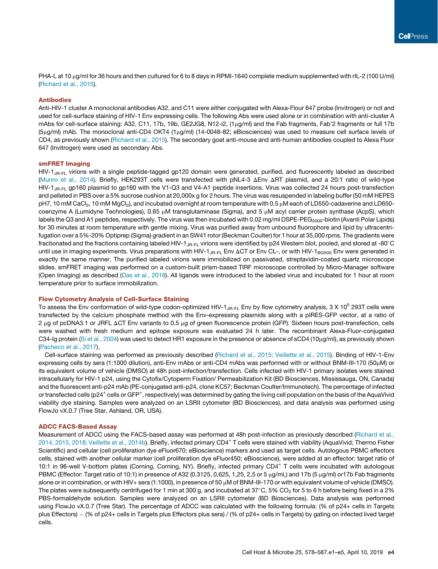PHA-L at 10 µg/ml for 36 hours and then cultured for 6 to 8 days in RPMI-1640 complete medium supplemented with rIL-2 (100 U/ml) (Richard et al., 2015).

#### Antibodies

Anti-HIV-1 cluster A monoclonal antibodies A32, and C11 were either conjugated with Alexa-Flour 647 probe (Invitrogen) or not and used for cell-surface staining of HIV-1 Env expressing cells. The following Abs were used alone or in combination with anti-cluster A mAbs for cell-surface staining: A32, C11, 17b, 19b, GE2JG8, N12-i2, (1µg/ml) and the Fab fragments, Fab'2 fragments or full 17b  $(5<sub>µ</sub>g/ml)$  mAb. The monoclonal anti-CD4 OKT4  $(1<sub>µ</sub>g/ml)$  (14-0048-82; eBiosciences) was used to measure cell surface levels of CD4, as previously shown (Richard et al., 2015). The secondary goat anti-mouse and anti-human antibodies coupled to Alexa Fluor 647 (Invitrogen) were used as secondary Abs.

#### smFRET Imaging

HIV-1<sub>JR-FL</sub> virions with a single peptide-tagged gp120 domain were generated, purified, and fluorescently labeled as described (Munro et al., 2014). Briefly, HEK293T cells were transfected with pNL4-3 DEnv DRT plasmid, and a 20:1 ratio of wild-type HIV-1<sub>JB-FL</sub> gp160 plasmid to gp160 with the V1-Q3 and V4-A1 peptide insertions. Virus was collected 24 hours post-transfection and pelleted in PBS over a 5% sucrose cushion at 20,000x g for 2 hours. The virus was resuspended in labeling buffer (50 mM HEPES pH7, 10 mM CaCl<sub>2</sub>, 10 mM MgCl<sub>2</sub>), and incubated overnight at room temperature with 0.5 µM each of LD550-cadaverine and LD650coenzyme A (Lumidyne Technologies), 0.65  $\mu$ M transglutaminase (Sigma), and 5  $\mu$ M acyl carrier protein synthase (AcpS), which labels the Q3 and A1 peptides, respectively. The virus was then incubated with 0.02 mg/ml DSPE-PEG<sub>2000</sub>-biotin (Avanti Polar Lipids) for 30 minutes at room temperature with gentle mixing. Virus was purified away from unbound fluorophore and lipid by ultracentrifugation over a 5%-20% Optiprep (Sigma) gradient in an SW41 rotor (Beckman Coulter) for 1 hour at 35,000 rpms. The gradients were fractionated and the fractions containing labeled HIV-1<sub>JR-FL</sub> virions were identified by p24 Western blot, pooled, and stored at -80°C until use in imaging experiments. Virus preparations with HIV-1<sub>JR-FL</sub> Env  $\Delta CT$  or Env CL-, or with HIV-1<sub>BG505</sub> Env were generated in exactly the same manner. The purified labeled virions were immobilized on passivated, streptavidin-coated quartz microscope slides. smFRET imaging was performed on a custom-built prism-based TIRF microscope controlled by Micro-Manager software (Open Imaging) as described (Das et al., 2018). All ligands were introduced to the labeled virus and incubated for 1 hour at room temperature prior to surface immobilization.

#### Flow Cytometry Analysis of Cell-Surface Staining

To assess the Env conformation of wild-type codon-optimized HIV-1<sub>JR-FL</sub> Env by flow cytometry analysis, 3 X 10<sup>5</sup> 293T cells were transfected by the calcium phosphate method with the Env-expressing plasmids along with a pIRES-GFP vector, at a ratio of 2 µg of pcDNA3.1 or JRFL  $\Delta$ CT Env variants to 0.5 µg of green fluorescence protein (GFP). Sixteen hours post-transfection, cells were washed with fresh medium and epitope exposure was evaluated 24 h later. The recombinant Alexa-Fluor-conjugated C34-Ig protein (Si et al., 2004) was used to detect HR1 exposure in the presence or absence of sCD4 (10µg/ml), as previously shown (Pacheco et al., 2017).

Cell-surface staining was performed as previously described (Richard et al., 2015; Veillette et al., 2015). Binding of HIV-1-Env expressing cells by sera (1:1000 dilution), anti-Env mAbs or anti-CD4 mAbs was performed with or without BNM-III-170 (50μM) or its equivalent volume of vehicle (DMSO) at 48h post-infection/transfection. Cells infected with HIV-1 primary isolates were stained intracellularly for HIV-1 p24, using the Cytofix/Cytoperm Fixation/ Permeabilization Kit (BD Biosciences, Mississauga, ON, Canada) and the fluorescent anti-p24 mAb (PE-conjugated anti-p24, clone KC57; Beckman Coulter/Immunotech). The percentage of infected or transfected cells (p24<sup>+</sup> cells or GFP<sup>+</sup>, respectively) was determined by gating the living cell population on the basis of the AquaVivid viability dye staining. Samples were analyzed on an LSRII cytometer (BD Biosciences), and data analysis was performed using FlowJo vX.0.7 (Tree Star, Ashland, OR, USA).

#### ADCC FACS-Based Assay

Measurement of ADCC using the FACS-based assay was performed at 48h post-infection as previously described (Richard et al., 2014, 2015, 2018; Veillette et al., 2014b). Briefly, infected primary CD4<sup>+</sup> T cells were stained with viability (AquaVivid; Thermo Fisher Scientific) and cellular (cell proliferation dye eFluor670; eBioscience) markers and used as target cells. Autologous PBMC effectors cells, stained with another cellular marker (cell proliferation dye eFluor450; eBioscience), were added at an effector: target ratio of 10:1 in 96-well V-bottom plates (Corning, Corning, NY). Briefly, infected primary CD4<sup>+</sup> T cells were incubated with autologous PBMC (Effector: Target ratio of 10:1) in presence of A32 (0.3125, 0,625, 1,25, 2,5 or 5  $\mu$ g/ml,) and 17b (5  $\mu$ g/ml) or17b Fab fragments alone or in combination, or with HIV+ sera (1:1000), in presence of 50  $\mu$ M of BNM-III-170 or with equivalent volume of vehicle (DMSO). The plates were subsequently centrifuged for 1 min at 300 g, and incubated at 37°C, 5% CO<sub>2</sub> for 5 to 6 h before being fixed in a 2% PBS-formaldehyde solution. Samples were analyzed on an LSRII cytometer (BD Biosciences). Data analysis was performed using FlowJo vX.0.7 (Tree Star). The percentage of ADCC was calculated with the following formula: (% of p24+ cells in Targets plus Effectors) – (% of p24+ cells in Targets plus Effectors plus sera) / (% of p24+ cells in Targets) by gating on infected lived target cells.